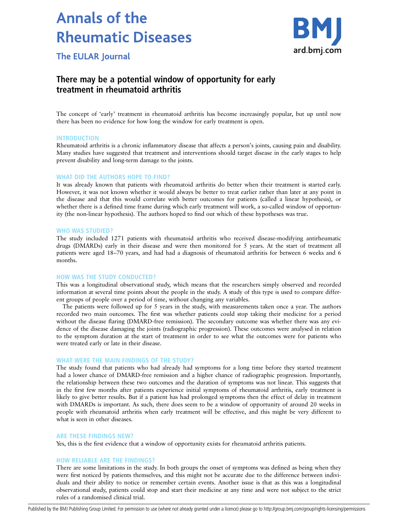# **Annals of the Rheumatic Diseases**



**The EULAR Journal** 

# There may be a potential window of opportunity for early treatment in rheumatoid arthritis

The concept of 'early' treatment in rheumatoid arthritis has become increasingly popular, but up until now there has been no evidence for how long the window for early treatment is open.

# INTRODUCTION

Rheumatoid arthritis is a chronic inflammatory disease that affects a person's joints, causing pain and disability. Many studies have suggested that treatment and interventions should target disease in the early stages to help prevent disability and long-term damage to the joints.

# WHAT DID THE AUTHORS HOPE TO FIND?

It was already known that patients with rheumatoid arthritis do better when their treatment is started early. However, it was not known whether it would always be better to treat earlier rather than later at any point in the disease and that this would correlate with better outcomes for patients (called a linear hypothesis), or whether there is a defined time frame during which early treatment will work, a so-called window of opportunity (the non-linear hypothesis). The authors hoped to find out which of these hypotheses was true.

#### WHO WAS STUDIED?

The study included 1271 patients with rheumatoid arthritis who received disease-modifying antirheumatic drugs (DMARDs) early in their disease and were then monitored for 5 years. At the start of treatment all patients were aged 18–70 years, and had had a diagnosis of rheumatoid arthritis for between 6 weeks and 6 months.

#### HOW WAS THE STUDY CONDUCTED?

This was a longitudinal observational study, which means that the researchers simply observed and recorded information at several time points about the people in the study. A study of this type is used to compare different groups of people over a period of time, without changing any variables.

The patients were followed up for 5 years in the study, with measurements taken once a year. The authors recorded two main outcomes. The first was whether patients could stop taking their medicine for a period without the disease flaring (DMARD-free remission). The secondary outcome was whether there was any evidence of the disease damaging the joints (radiographic progression). These outcomes were analysed in relation to the symptom duration at the start of treatment in order to see what the outcomes were for patients who were treated early or late in their disease.

# WHAT WERE THE MAIN FINDINGS OF THE STUDY?

The study found that patients who had already had symptoms for a long time before they started treatment had a lower chance of DMARD-free remission and a higher chance of radiographic progression. Importantly, the relationship between these two outcomes and the duration of symptoms was not linear. This suggests that in the first few months after patients experience initial symptoms of rheumatoid arthritis, early treatment is likely to give better results. But if a patient has had prolonged symptoms then the effect of delay in treatment with DMARDs is important. As such, there does seem to be a window of opportunity of around 20 weeks in people with rheumatoid arthritis when early treatment will be effective, and this might be very different to what is seen in other diseases.

# ARE THESE FINDINGS NEW?

Yes, this is the first evidence that a window of opportunity exists for rheumatoid arthritis patients.

# HOW RELIABLE ARE THE FINDINGS?

There are some limitations in the study. In both groups the onset of symptoms was defined as being when they were first noticed by patients themselves, and this might not be accurate due to the difference between individuals and their ability to notice or remember certain events. Another issue is that as this was a longitudinal observational study, patients could stop and start their medicine at any time and were not subject to the strict rules of a randomised clinical trial.